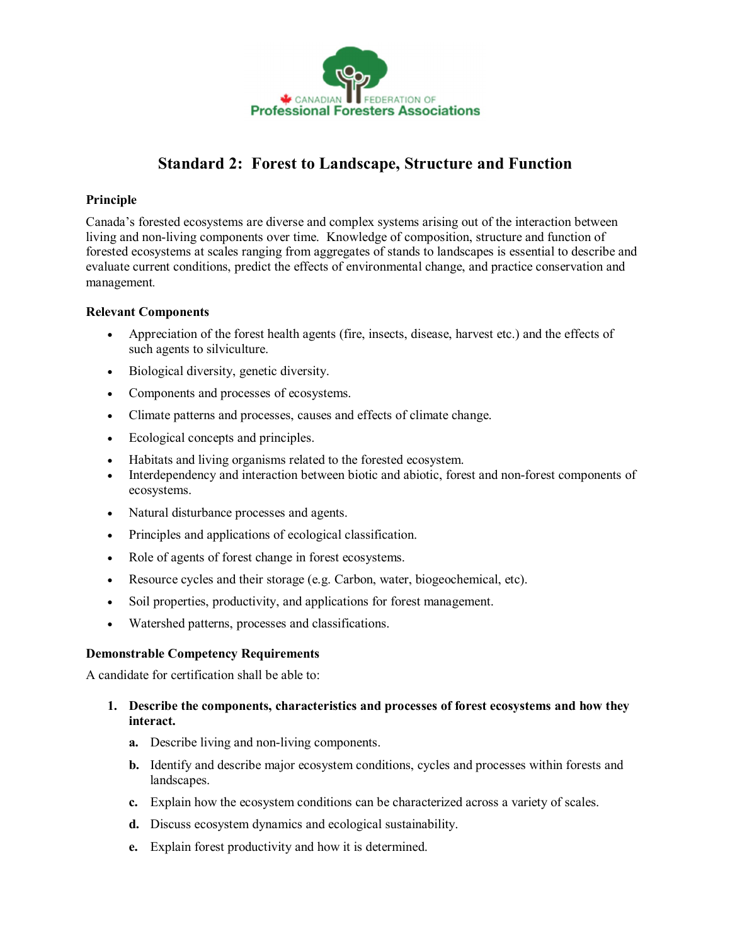

# **Standard 2: Forest to Landscape, Structure and Function**

## **Principle**

Canada's forested ecosystems are diverse and complex systems arising out of the interaction between living and non-living components over time. Knowledge of composition, structure and function of forested ecosystems at scales ranging from aggregates of stands to landscapes is essential to describe and evaluate current conditions, predict the effects of environmental change, and practice conservation and management*.*

## **Relevant Components**

- · Appreciation of the forest health agents (fire, insects, disease, harvest etc.) and the effects of such agents to silviculture.
- · Biological diversity, genetic diversity.
- · Components and processes of ecosystems.
- · Climate patterns and processes, causes and effects of climate change.
- · Ecological concepts and principles.
- Habitats and living organisms related to the forested ecosystem.
- Interdependency and interaction between biotic and abiotic, forest and non-forest components of ecosystems.
- · Natural disturbance processes and agents.
- · Principles and applications of ecological classification.
- · Role of agents of forest change in forest ecosystems.
- · Resource cycles and their storage (e.g. Carbon, water, biogeochemical, etc).
- · Soil properties, productivity, and applications for forest management.
- · Watershed patterns, processes and classifications.

## **Demonstrable Competency Requirements**

A candidate for certification shall be able to:

- **1. Describe the components, characteristics and processes of forest ecosystems and how they interact.**
	- **a.** Describe living and non-living components.
	- **b.** Identify and describe major ecosystem conditions, cycles and processes within forests and landscapes.
	- **c.** Explain how the ecosystem conditions can be characterized across a variety of scales.
	- **d.** Discuss ecosystem dynamics and ecological sustainability.
	- **e.** Explain forest productivity and how it is determined.